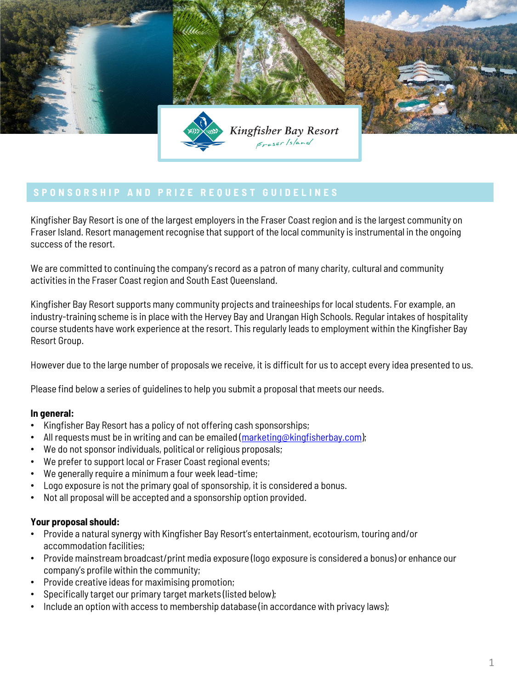

Kingfisher Bay Resort is one of the largest employers in the Fraser Coast region and is the largest community on Fraser Island. Resort management recognise that support of the local community is instrumental in the ongoing success of the resort.

We are committed to continuing the company's record as a patron of many charity, cultural and community activities in the Fraser Coast region and South East Queensland.

Kingfisher Bay Resort supports many community projects and traineeships for local students. For example, an industry-training scheme is in place with the Hervey Bay and Urangan High Schools. Regular intakes of hospitality course students have work experience at the resort. This regularly leads to employment within the Kingfisher Bay Resort Group.

However due to the large number of proposals we receive, it is difficult for us to accept every idea presented to us.

Please find below a series of guidelines to help you submit a proposal that meets our needs.

# **In general:**

- Kingfisher Bay Resort has a policy of not offering cash sponsorships;
- All requests must be in writing and can be emailed ( $\frac{maxketing@kingfisherbay.com}{maxcalg@}$ );
- We do not sponsor individuals, political or religious proposals;
- We prefer to support local or Fraser Coast regional events;
- We generally require a minimum a four week lead-time;
- Logo exposure is not the primary goal of sponsorship, it is considered a bonus.
- Not all proposal will be accepted and a sponsorship option provided.

# **Your proposal should:**

- Provide a natural synergy with Kingfisher Bay Resort's entertainment, ecotourism, touring and/or accommodation facilities;
- Provide mainstream broadcast/print media exposure (logo exposure is considered a bonus) or enhance our company's profile within the community;
- Provide creative ideas for maximising promotion;
- Specifically target our primary target markets (listed below);
- Include an option with access to membership database (in accordance with privacy laws);